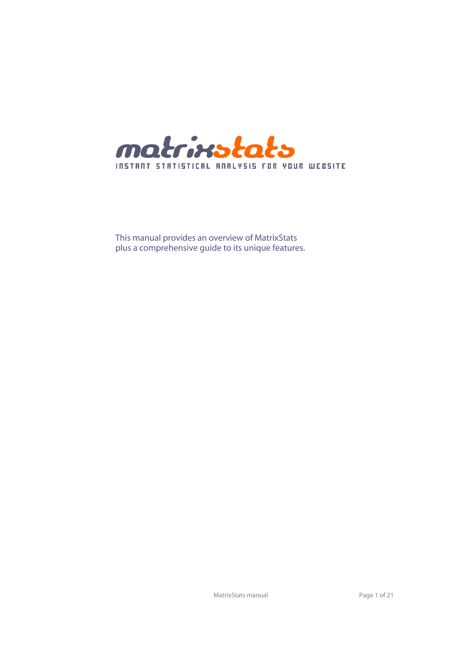

This manual provides an overview of MatrixStats plus a comprehensive guide to its unique features.

MatrixStats manual and a set of 21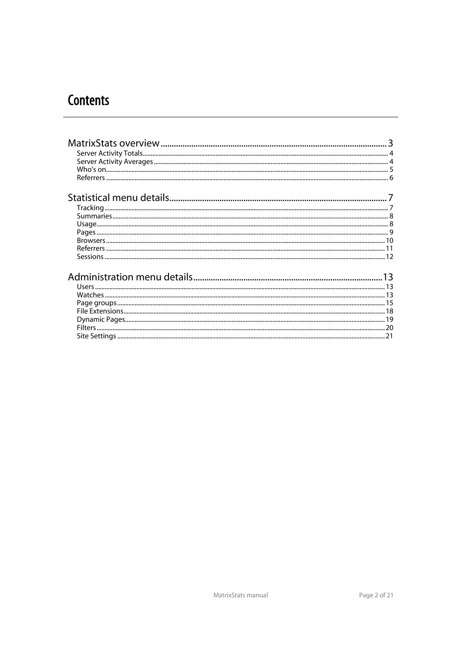# **Contents**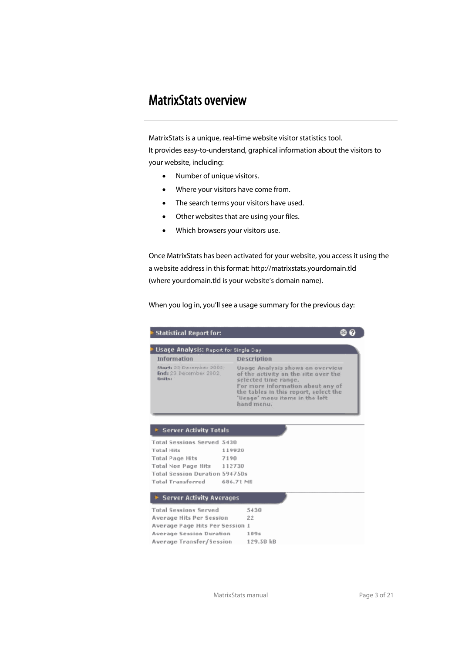# MatrixStats overview

 MatrixStats is a unique, real-time website visitor statistics tool. It provides easy-to-understand, graphical information about the visitors to your website, including:

- Number of unique visitors.
- Where your visitors have come from.
- The search terms your visitors have used.
- Other websites that are using your files.
- Which browsers your visitors use.

Once MatrixStats has been activated for your website, you access it using the a website address in this format: http://matrixstats.yourdomain.tld (where yourdomain.tld is your website's domain name).

When you log in, you'll see a usage summary for the previous day:

| Statistical Report for:                                       |                                                                                                                                                                                                                                |  |
|---------------------------------------------------------------|--------------------------------------------------------------------------------------------------------------------------------------------------------------------------------------------------------------------------------|--|
| Usage Analysis: Report for Single Day                         |                                                                                                                                                                                                                                |  |
| Information                                                   | Description                                                                                                                                                                                                                    |  |
| Start: 23 Diesember 2002:<br>End: 23 December 2002<br>Unitts: | Usage Analysis shows an overview<br>of the activity on the site over the<br>selected time range.<br>For more information about any of<br>the tables in this report, select the<br>'Usage' menu items in the left<br>hand menu. |  |
| <b>E</b> Server Activity Totals<br>Total Sessions Served 5430 |                                                                                                                                                                                                                                |  |
| <b>Total Hits</b>                                             | 119920                                                                                                                                                                                                                         |  |
| Total Page Hits                                               | 7190                                                                                                                                                                                                                           |  |
| Total Non Page Hits 112730                                    |                                                                                                                                                                                                                                |  |
| Total Session Duration 594750s                                |                                                                                                                                                                                                                                |  |
| Total Transferred                                             | 686.71 MB                                                                                                                                                                                                                      |  |
| <b>Server Activity Averages</b>                               |                                                                                                                                                                                                                                |  |
| <b>Total Sessions Served</b>                                  | 5430                                                                                                                                                                                                                           |  |
| Average Hits Per Session                                      | 22                                                                                                                                                                                                                             |  |
| Average Page Hits Per Session 1                               |                                                                                                                                                                                                                                |  |
| Average Session Duration                                      | 1096                                                                                                                                                                                                                           |  |
| Average Transfer/Session                                      | 129.50 kB                                                                                                                                                                                                                      |  |

MatrixStats manual and a page 3 of 21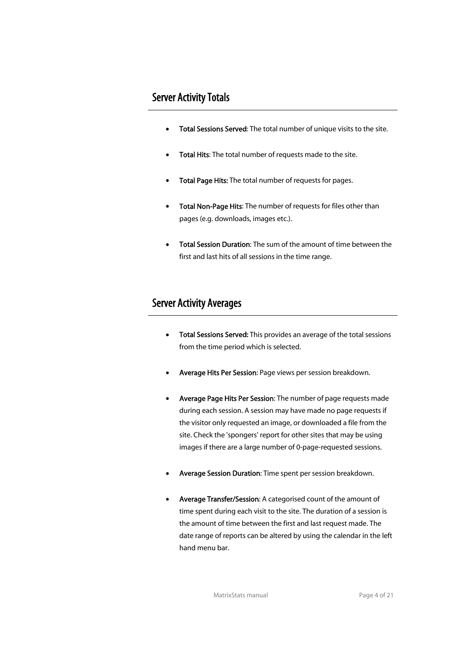#### Server Activity Totals

- Total Sessions Served: The total number of unique visits to the site.
- Total Hits: The total number of requests made to the site.
- Total Page Hits: The total number of requests for pages.
- Total Non-Page Hits: The number of requests for files other than pages (e.g. downloads, images etc.).
- Total Session Duration: The sum of the amount of time between the first and last hits of all sessions in the time range.

#### Server Activity Averages

- Total Sessions Served: This provides an average of the total sessions from the time period which is selected.
- Average Hits Per Session: Page views per session breakdown.
- Average Page Hits Per Session: The number of page requests made during each session. A session may have made no page requests if the visitor only requested an image, or downloaded a file from the site. Check the 'spongers' report for other sites that may be using images if there are a large number of 0-page-requested sessions.
- Average Session Duration: Time spent per session breakdown.
- Average Transfer/Session: A categorised count of the amount of time spent during each visit to the site. The duration of a session is the amount of time between the first and last request made. The date range of reports can be altered by using the calendar in the left hand menu bar.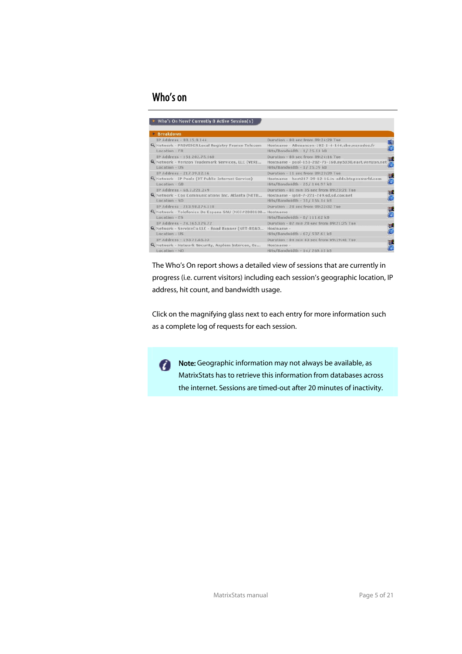## Who's on

| Who's On Now? Currently 8 Active Session(s)                  |                                                        |               |
|--------------------------------------------------------------|--------------------------------------------------------|---------------|
| <b>E</b> Breakdown                                           |                                                        |               |
| IP Address - 80.15.9.144                                     | Duration - 00 sec from 09:24:20 Tue                    |               |
| Q Network - PROVIDER Local Registry France Telecom           | Hostname - ABesancon-102-1-4-144 abo.wanadoo.fr        | $\frac{4}{6}$ |
| $I$ oration - $FP$                                           | Hits/Bandwidth - 1/ 25.51 kB                           |               |
| IP Address - 151.202.75.160                                  | Duration - 00 sec from 09:24:16 Tue                    | 驅             |
| Q Network - Verizon Trademark Services, LLC (VERI            | Hostname - pool-151-202-75-160.ny5030.east.verizon.net | e             |
| Location - US                                                | Hits/Bandwidth - 1/25.39 kB                            |               |
| IP Address - 217.39.12.16                                    | Duration - 11 sec from 09:23:39 Tue                    | 開口            |
| Q Network - IP Pools (BT Public Internet Service)            | Hostname - host217-39-12-16.in-addr.btopenworld.com    | e             |
| Location - GB                                                | Hits/Bandwidth - 25/ 144.97 kB                         |               |
| IP Address - 68.7.221.249                                    | Duration - 01 min 35 sec from 09:23:21 Tue             | WÊ            |
| Network - Cox Communications Inc. Atlanta (NETB              | Hostname - ip68-7-221-249.sd.sd.cox.net                | Æ             |
| $Location - SD$                                              | Hits/Bandwidth - 31/156.14 kB                          |               |
| IP Address - 213.98.174.118                                  | Duration - 28 sec from 09:22:32 Tue                    | 雕             |
| C Network - Telefonica De Espana SAU (NCC#2000108 Hostname - |                                                        | e             |
| Location - ES                                                | Hits/Bandwidth - B/ 111.62 kB                          |               |
| IP Address - 24, 165, 129, 22                                | Duration - 82 min 28 ser from 89:21:25 Tue             | 騙             |
| & Network - ServiceCo LLC - Road Runner (NET-ROAD            | Hostpame -                                             |               |
| Location - US                                                | Hits/Bandwidth - 67/ 537.61 kB                         |               |
| IP Address - 193.71.65.33                                    | Duration - 04 min 43 sec from 09:19:41 Tue             | H             |
| Q. Network - Network Security, Asplem Intercon, Os           | Florehousnies -                                        |               |
| Location - NO                                                | Hits/Bandwidth - 14/ 269.15 kB                         |               |

 The Who's On report shows a detailed view of sessions that are currently in progress (i.e. current visitors) including each session's geographic location, IP address, hit count, and bandwidth usage.

Click on the magnifying glass next to each entry for more information such as a complete log of requests for each session.



Note: Geographic information may not always be available, as MatrixStats has to retrieve this information from databases across the internet. Sessions are timed-out after 20 minutes of inactivity.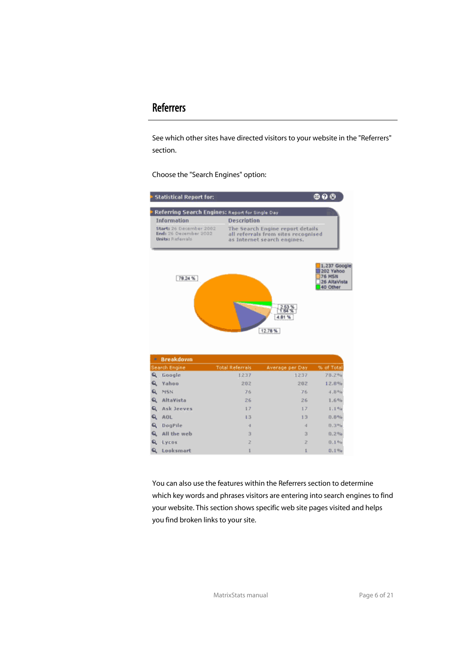#### **Referrers**

 See which other sites have directed visitors to your website in the "Referrers" section.

Choose the "Search Engines" option:



 You can also use the features within the Referrers section to determine which key words and phrases visitors are entering into search engines to find your website. This section shows specific web site pages visited and helps you find broken links to your site.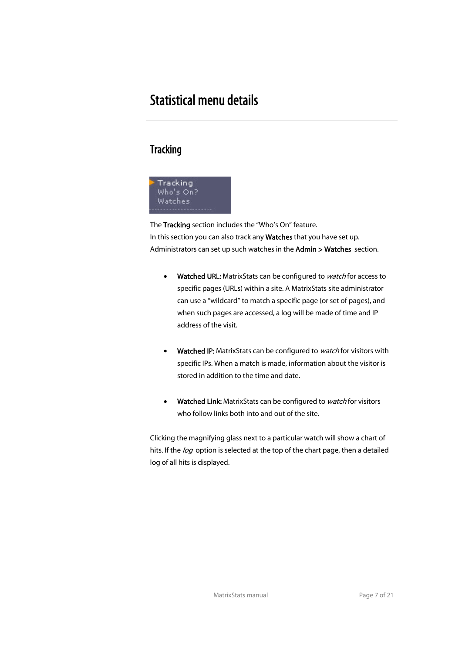# Statistical menu details

## **Tracking**



The Tracking section includes the "Who's On" feature. In this section you can also track any Watches that you have set up. Administrators can set up such watches in the Admin > Watches section.

- Watched URL: MatrixStats can be configured to watch for access to specific pages (URLs) within a site. A MatrixStats site administrator can use a "wildcard" to match a specific page (or set of pages), and when such pages are accessed, a log will be made of time and IP address of the visit.
- Watched IP: MatrixStats can be configured to watch for visitors with specific IPs. When a match is made, information about the visitor is stored in addition to the time and date.
- Watched Link: MatrixStats can be configured to watch for visitors who follow links both into and out of the site.

 Clicking the magnifying glass next to a particular watch will show a chart of hits. If the log option is selected at the top of the chart page, then a detailed log of all hits is displayed.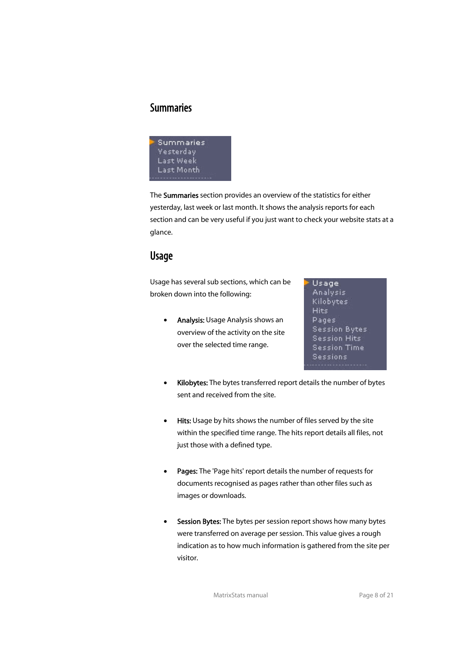#### **Summaries**



The Summaries section provides an overview of the statistics for either yesterday, last week or last month. It shows the analysis reports for each section and can be very useful if you just want to check your website stats at a glance.

#### Usage

 Usage has several sub sections, which can be broken down into the following:

• Analysis: Usage Analysis shows an overview of the activity on the site over the selected time range.

Usage Analysis Kilobytes Hits Pages **Session Bytes Session Hits Session Time** Sessions

- Kilobytes: The bytes transferred report details the number of bytes sent and received from the site.
- Hits: Usage by hits shows the number of files served by the site within the specified time range. The hits report details all files, not just those with a defined type.
- Pages: The 'Page hits' report details the number of requests for documents recognised as pages rather than other files such as images or downloads.
- Session Bytes: The bytes per session report shows how many bytes were transferred on average per session. This value gives a rough indication as to how much information is gathered from the site per visitor.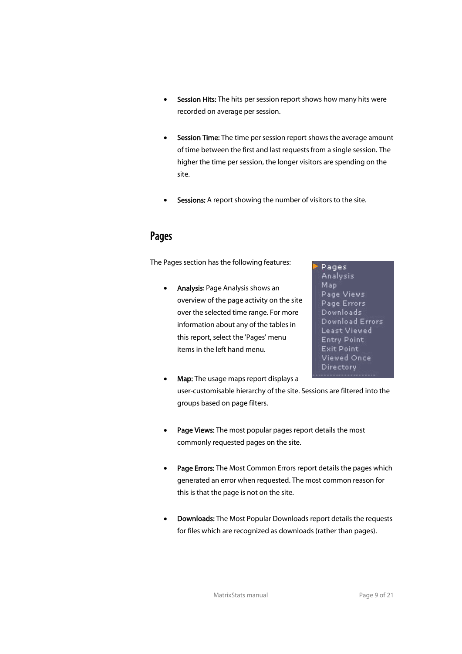- Session Hits: The hits per session report shows how many hits were recorded on average per session.
- Session Time: The time per session report shows the average amount of time between the first and last requests from a single session. The higher the time per session, the longer visitors are spending on the site.
- Sessions: A report showing the number of visitors to the site.

## Pages

The Pages section has the following features:

• Analysis: Page Analysis shows an overview of the page activity on the site over the selected time range. For more information about any of the tables in this report, select the 'Pages' menu items in the left hand menu.

Pages **Analysis** Map Page Views Page Errors Downloads Download Errors **Least Viewed Entry Point Exit Point** Viewed Once Directory

- Map: The usage maps report displays a user-customisable hierarchy of the site. Sessions are filtered into the groups based on page filters.
- Page Views: The most popular pages report details the most commonly requested pages on the site.
- Page Errors: The Most Common Errors report details the pages which generated an error when requested. The most common reason for this is that the page is not on the site.
- **Downloads:** The Most Popular Downloads report details the requests for files which are recognized as downloads (rather than pages).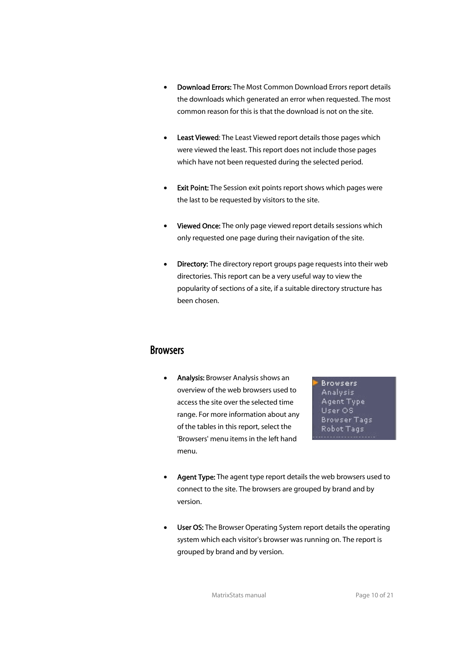- Download Errors: The Most Common Download Errors report details the downloads which generated an error when requested. The most common reason for this is that the download is not on the site.
- **Least Viewed:** The Least Viewed report details those pages which were viewed the least. This report does not include those pages which have not been requested during the selected period.
- Exit Point: The Session exit points report shows which pages were the last to be requested by visitors to the site.
- Viewed Once: The only page viewed report details sessions which only requested one page during their navigation of the site.
- **Directory:** The directory report groups page requests into their web directories. This report can be a very useful way to view the popularity of sections of a site, if a suitable directory structure has been chosen.

#### **Browsers**

 • Analysis: Browser Analysis shows an overview of the web browsers used to access the site over the selected time range. For more information about any of the tables in this report, select the 'Browsers' menu items in the left hand menu.

**Browsers** Analysis Agent Type User OS **Browser Tags** Robot Tags

- Agent Type: The agent type report details the web browsers used to connect to the site. The browsers are grouped by brand and by version.
- User OS: The Browser Operating System report details the operating system which each visitor's browser was running on. The report is grouped by brand and by version.

MatrixStats manual and a page 10 of 21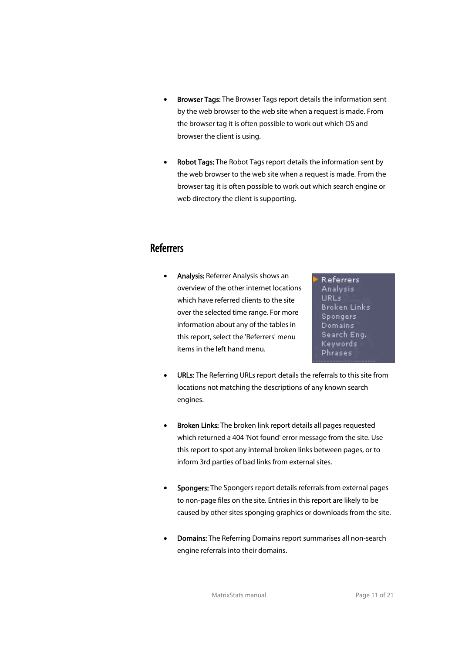- Browser Tags: The Browser Tags report details the information sent by the web browser to the web site when a request is made. From the browser tag it is often possible to work out which OS and browser the client is using.
- Robot Tags: The Robot Tags report details the information sent by the web browser to the web site when a request is made. From the browser tag it is often possible to work out which search engine or web directory the client is supporting.

### Referrers

 • Analysis: Referrer Analysis shows an overview of the other internet locations which have referred clients to the site over the selected time range. For more information about any of the tables in this report, select the 'Referrers' menu items in the left hand menu.

**Referrers Analysis** URLs **Broken Links Spongers** Domains Search Eng. Keywords Phrases

- URLs: The Referring URLs report details the referrals to this site from locations not matching the descriptions of any known search engines.
- **Broken Links:** The broken link report details all pages requested which returned a 404 'Not found' error message from the site. Use this report to spot any internal broken links between pages, or to inform 3rd parties of bad links from external sites.
- Spongers: The Spongers report details referrals from external pages to non-page files on the site. Entries in this report are likely to be caused by other sites sponging graphics or downloads from the site.
- **Domains:** The Referring Domains report summarises all non-search engine referrals into their domains.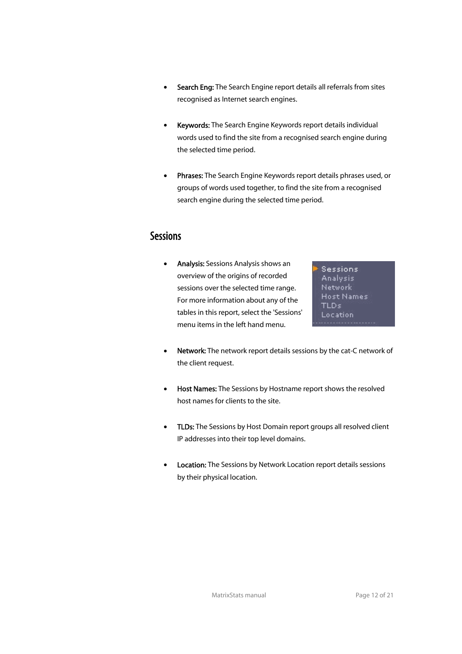- Search Eng: The Search Engine report details all referrals from sites recognised as Internet search engines.
- **Keywords:** The Search Engine Keywords report details individual words used to find the site from a recognised search engine during the selected time period.
- Phrases: The Search Engine Keywords report details phrases used, or groups of words used together, to find the site from a recognised search engine during the selected time period.

#### **Sessions**

 • Analysis: Sessions Analysis shows an overview of the origins of recorded sessions over the selected time range. For more information about any of the tables in this report, select the 'Sessions' menu items in the left hand menu.

**Sessions Analysis** Network **Host Names** TLD<sub>s</sub> Location

- Network: The network report details sessions by the cat-C network of the client request.
- Host Names: The Sessions by Hostname report shows the resolved host names for clients to the site.
- TLDs: The Sessions by Host Domain report groups all resolved client IP addresses into their top level domains.
- Location: The Sessions by Network Location report details sessions by their physical location.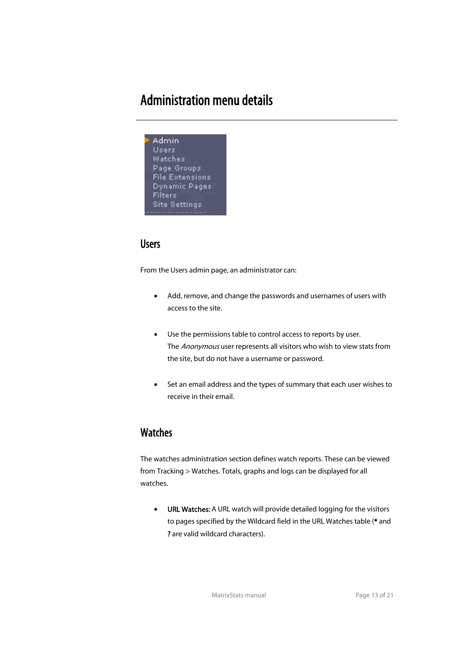# Administration menu details



### **Users**

From the Users admin page, an administrator can:

- Add, remove, and change the passwords and usernames of users with access to the site.
- Use the permissions table to control access to reports by user. The Anonymous user represents all visitors who wish to view stats from the site, but do not have a username or password.
- Set an email address and the types of summary that each user wishes to receive in their email.

#### **Watches**

 The watches administration section defines watch reports. These can be viewed from Tracking > Watches. Totals, graphs and logs can be displayed for all watches.

• URL Watches: A URL watch will provide detailed logging for the visitors to pages specified by the Wildcard field in the URL Watches table (\* and ? are valid wildcard characters).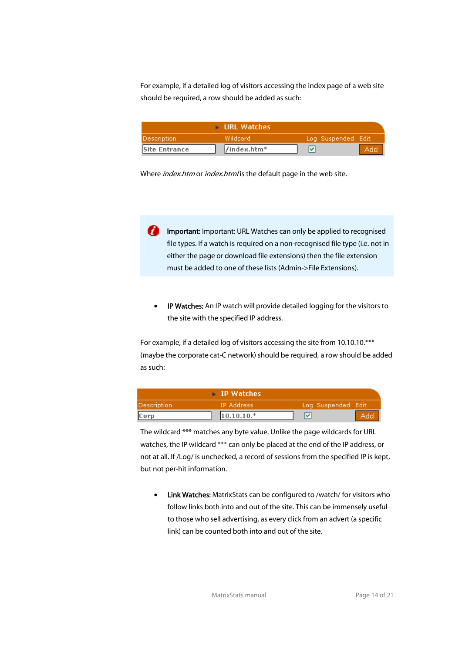For example, if a detailed log of visitors accessing the index page of a web site should be required, a row should be added as such:

|                      | <b>E</b> URL Watches |                    |  |
|----------------------|----------------------|--------------------|--|
| Description          | Wildcard             | Log Suspended Edit |  |
| <b>Site Entrance</b> | /index.htm*          |                    |  |

Where *index.htm* or *index.html* is the default page in the web site.

**Important:** Important: URL Watches can only be applied to recognised file types. If a watch is required on a non-recognised file type (i.e. not in either the page or download file extensions) then the file extension must be added to one of these lists (Admin->File Extensions).

IP Watches: An IP watch will provide detailed logging for the visitors to the site with the specified IP address.

For example, if a detailed log of visitors accessing the site from 10.10.10.\*\*\* (maybe the corporate cat-C network) should be required, a row should be added as such:

|                    | $\triangleright$ IP Watches |                      |  |
|--------------------|-----------------------------|----------------------|--|
| <b>Description</b> | IP Address                  | (Log Suspended Edit) |  |
| Corp               | $10.10.10.*$                |                      |  |

 The wildcard \*\*\* matches any byte value. Unlike the page wildcards for URL watches, the IP wildcard \*\*\* can only be placed at the end of the IP address, or not at all. If /Log/ is unchecked, a record of sessions from the specified IP is kept, but not per-hit information.

• Link Watches: MatrixStats can be configured to /watch/ for visitors who follow links both into and out of the site. This can be immensely useful to those who sell advertising, as every click from an advert (a specific link) can be counted both into and out of the site.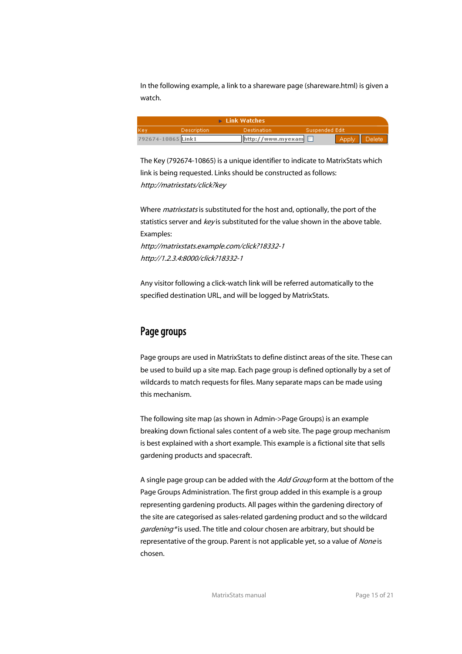In the following example, a link to a shareware page (shareware.html) is given a watch.

| $\triangleright$ Link Watches                               |  |                              |  |              |  |
|-------------------------------------------------------------|--|------------------------------|--|--------------|--|
| Suspended Edit<br><b>Description</b><br>Destination<br>lKev |  |                              |  |              |  |
| 792674-10865 Link1                                          |  | $[$ http://www.myexam $\Box$ |  | Apply Delete |  |

 The Key (792674-10865) is a unique identifier to indicate to MatrixStats which link is being requested. Links should be constructed as follows: http://matrixstats/click?key

Where *matrixstats* is substituted for the host and, optionally, the port of the statistics server and key is substituted for the value shown in the above table. Examples:

 http://matrixstats.example.com/click?18332-1 http://1.2.3.4:8000/click?18332-1

 Any visitor following a click-watch link will be referred automatically to the specified destination URL, and will be logged by MatrixStats.

### Page groups

 Page groups are used in MatrixStats to define distinct areas of the site. These can be used to build up a site map. Each page group is defined optionally by a set of wildcards to match requests for files. Many separate maps can be made using this mechanism.

 The following site map (as shown in Admin->Page Groups) is an example breaking down fictional sales content of a web site. The page group mechanism is best explained with a short example. This example is a fictional site that sells gardening products and spacecraft.

A single page group can be added with the Add Group form at the bottom of the Page Groups Administration. The first group added in this example is a group representing gardening products. All pages within the gardening directory of the site are categorised as sales-related gardening product and so the wildcard gardening\* is used. The title and colour chosen are arbitrary, but should be representative of the group. Parent is not applicable yet, so a value of None is chosen.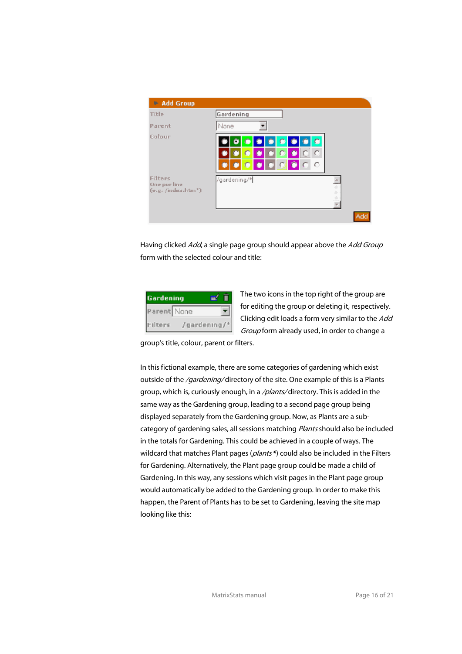

Having clicked Add, a single page group should appear above the Add Group form with the selected colour and title:

| Gardening   |              |
|-------------|--------------|
| Parent None |              |
| Filters     | /gardening/* |

The two icons in the top right of the group are for editing the group or deleting it, respectively. Clicking edit loads a form very similar to the Add Group form already used, in order to change a

group's title, colour, parent or filters.

 In this fictional example, there are some categories of gardening which exist outside of the /gardening/ directory of the site. One example of this is a Plants group, which is, curiously enough, in a */plants/* directory. This is added in the same way as the Gardening group, leading to a second page group being displayed separately from the Gardening group. Now, as Plants are a subcategory of gardening sales, all sessions matching Plants should also be included in the totals for Gardening. This could be achieved in a couple of ways. The wildcard that matches Plant pages (plants\*) could also be included in the Filters for Gardening. Alternatively, the Plant page group could be made a child of Gardening. In this way, any sessions which visit pages in the Plant page group would automatically be added to the Gardening group. In order to make this happen, the Parent of Plants has to be set to Gardening, leaving the site map looking like this: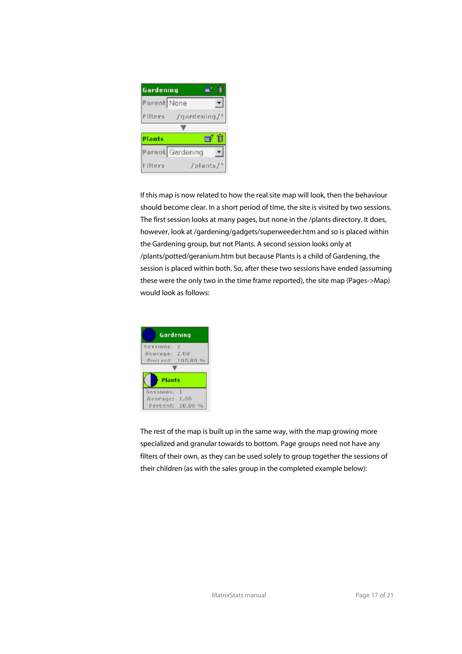

 If this map is now related to how the real site map will look, then the behaviour should become clear. In a short period of time, the site is visited by two sessions. The first session looks at many pages, but none in the /plants directory. It does, however, look at /gardening/gadgets/superweeder.htm and so is placed within the Gardening group, but not Plants. A second session looks only at /plants/potted/geranium.htm but because Plants is a child of Gardening, the session is placed within both. So, after these two sessions have ended (assuming these were the only two in the time frame reported), the site map (Pages->Map) would look as follows:



 The rest of the map is built up in the same way, with the map growing more specialized and granular towards to bottom. Page groups need not have any filters of their own, as they can be used solely to group together the sessions of their children (as with the sales group in the completed example below):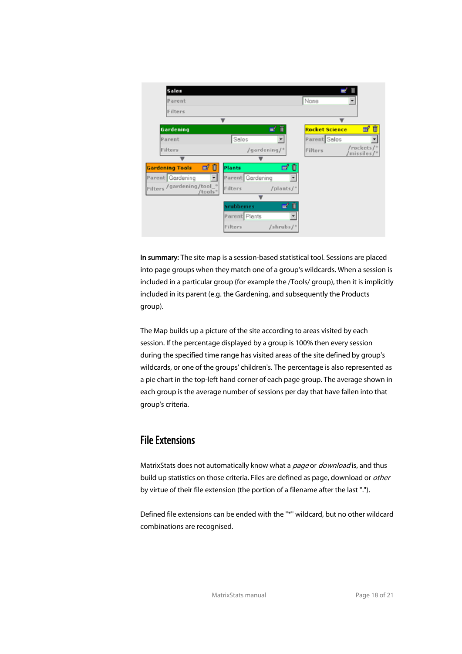| Sales                                 |                                       |                                               |
|---------------------------------------|---------------------------------------|-----------------------------------------------|
| Parent                                |                                       | None                                          |
| Filters                               |                                       |                                               |
|                                       | $\overline{\mathbf{v}}$               | v                                             |
| Gardening                             | π<br>匾                                | Ñ<br><b>Rocket Science</b><br>國               |
| Parent                                | Sales<br>$\pmb{\mathrm{v}}$           | Parent Sales                                  |
| Filters                               | /gardening/*                          | /rockets/*<br>Filters<br>$\text{missiles}$ /* |
|                                       |                                       |                                               |
| øû<br><b>Gardening Tools</b>          | ďŪ<br>Plants                          |                                               |
| Parent Gardening                      | Parent Gardening                      |                                               |
| Filters / gardening/tool_*<br>/tools* | Filters<br>$f$ plants $f^*$           |                                               |
|                                       |                                       |                                               |
|                                       | $\mathbf{u}'$ if<br><b>Srubberies</b> |                                               |
|                                       | Parent Plants<br>۰                    |                                               |
|                                       | Filters<br>$/s$ hrubs $f^*$           |                                               |

In summary: The site map is a session-based statistical tool. Sessions are placed into page groups when they match one of a group's wildcards. When a session is included in a particular group (for example the /Tools/ group), then it is implicitly included in its parent (e.g. the Gardening, and subsequently the Products group).

 The Map builds up a picture of the site according to areas visited by each session. If the percentage displayed by a group is 100% then every session during the specified time range has visited areas of the site defined by group's wildcards, or one of the groups' children's. The percentage is also represented as a pie chart in the top-left hand corner of each page group. The average shown in each group is the average number of sessions per day that have fallen into that group's criteria.

## File Extensions

MatrixStats does not automatically know what a *page* or *download* is, and thus build up statistics on those criteria. Files are defined as page, download or *other* by virtue of their file extension (the portion of a filename after the last ".").

 Defined file extensions can be ended with the "\*" wildcard, but no other wildcard combinations are recognised.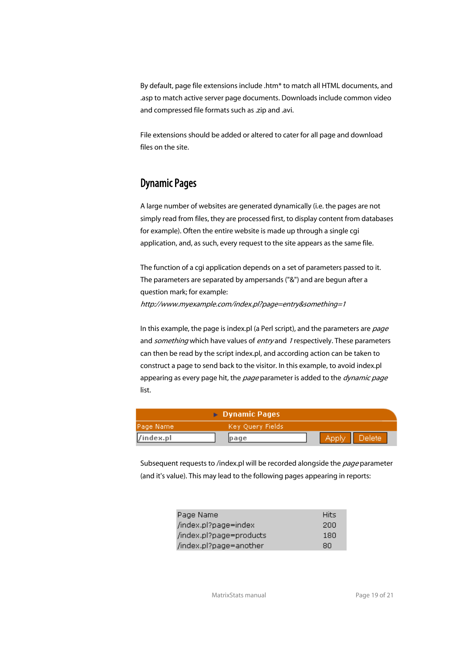By default, page file extensions include .htm\* to match all HTML documents, and .asp to match active server page documents. Downloads include common video and compressed file formats such as .zip and .avi.

 File extensions should be added or altered to cater for all page and download files on the site.

#### Dynamic Pages

 A large number of websites are generated dynamically (i.e. the pages are not simply read from files, they are processed first, to display content from databases for example). Often the entire website is made up through a single cgi application, and, as such, every request to the site appears as the same file.

 The function of a cgi application depends on a set of parameters passed to it. The parameters are separated by ampersands ("&") and are begun after a question mark; for example: http://www.myexample.com/index.pl?page=entry&something=1

In this example, the page is index.pl (a Perl script), and the parameters are *page* and something which have values of entry and 1 respectively. These parameters can then be read by the script index.pl, and according action can be taken to construct a page to send back to the visitor. In this example, to avoid index.pl appearing as every page hit, the page parameter is added to the dynamic page list.

| $\triangleright$ Dynamic Pages |      |         |               |
|--------------------------------|------|---------|---------------|
| Key Query Fields<br>Page Name  |      |         |               |
| /index.pl                      | page | - Apply | <b>Delete</b> |

Subsequent requests to /index.pl will be recorded alongside the page parameter (and it's value). This may lead to the following pages appearing in reports:

| Page Name               | <b>Hits</b> |
|-------------------------|-------------|
| /index.pl?page=index    | 200         |
| /index.pl?page=products | 180         |
| /index.pl?page=another  | 80          |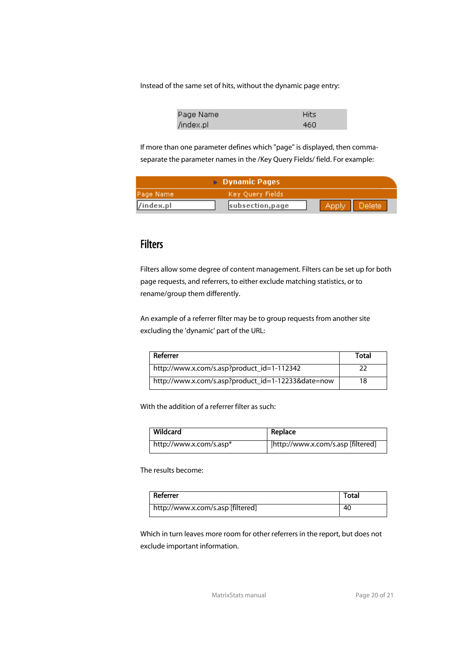Instead of the same set of hits, without the dynamic page entry:

| Page Name | <b>Hits</b> |
|-----------|-------------|
| /index.pl | 460         |

 If more than one parameter defines which "page" is displayed, then commaseparate the parameter names in the /Key Query Fields/ field. For example:

| $\triangleright$ Dynamic Pages |                  |        |               |
|--------------------------------|------------------|--------|---------------|
| [Page Name]                    | Key Query Fields |        |               |
| $\vert$ /index.pl              | subsection, page | -Apply | <b>Delete</b> |

## **Filters**

 Filters allow some degree of content management. Filters can be set up for both page requests, and referrers, to either exclude matching statistics, or to rename/group them differently.

 An example of a referrer filter may be to group requests from another site excluding the 'dynamic' part of the URL:

| Referrer                                           | Total |
|----------------------------------------------------|-------|
| http://www.x.com/s.asp?product_id=1-112342         |       |
| http://www.x.com/s.asp?product_id=1-12233&date=now | 18    |

With the addition of a referrer filter as such:

| Wildcard                | Replace                           |
|-------------------------|-----------------------------------|
| http://www.x.com/s.asp* | http://www.x.com/s.asp [filtered] |

The results become:

| Referrer                          | Total |
|-----------------------------------|-------|
| http://www.x.com/s.asp [filtered] | 40    |

 Which in turn leaves more room for other referrers in the report, but does not exclude important information.